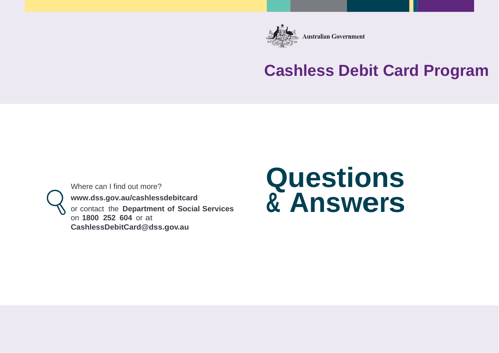

**Australian Government** 

## **Cashless Debit Card Program**

Where can I find out more?

**[www.dss.gov.au/cashlessdebitcard](http://www.dss.gov.au/cashlessdebitcard)**

or contact the **Department of Social Services**  on **1800 252 604** or at **[CashlessDebitCard@dss.gov.au](mailto:debitcardtrial@dss.gov.au)**

# **Questions & Answers**